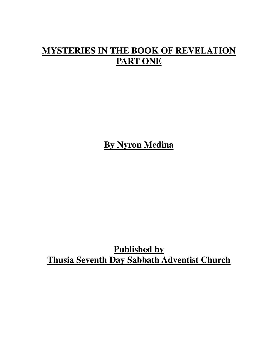## **MYSTERIES IN THE BOOK OF REVELATION PART ONE**

**By Nyron Medina**

**Published by Thusia Seventh Day Sabbath Adventist Church**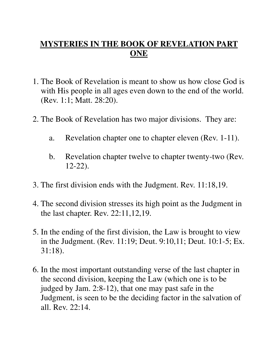## **MYSTERIES IN THE BOOK OF REVELATION PART ONE**

- 1. The Book of Revelation is meant to show us how close God is with His people in all ages even down to the end of the world. (Rev. 1:1; Matt. 28:20).
- 2. The Book of Revelation has two major divisions. They are:
	- a. Revelation chapter one to chapter eleven (Rev. 1-11).
	- b. Revelation chapter twelve to chapter twenty-two (Rev. 12-22).
- 3. The first division ends with the Judgment. Rev. 11:18,19.
- 4. The second division stresses its high point as the Judgment in the last chapter. Rev. 22:11,12,19.
- 5. In the ending of the first division, the Law is brought to view in the Judgment. (Rev. 11:19; Deut. 9:10,11; Deut. 10:1-5; Ex. 31:18).
- 6. In the most important outstanding verse of the last chapter in the second division, keeping the Law (which one is to be judged by Jam. 2:8-12), that one may past safe in the Judgment, is seen to be the deciding factor in the salvation of all. Rev. 22:14.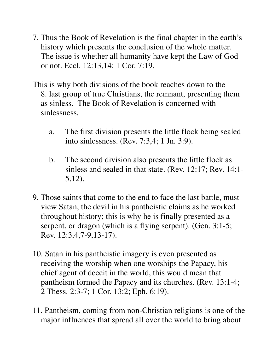- 7. Thus the Book of Revelation is the final chapter in the earth's history which presents the conclusion of the whole matter. The issue is whether all humanity have kept the Law of God or not. Eccl. 12:13,14; 1 Cor. 7:19.
- This is why both divisions of the book reaches down to the 8. last group of true Christians, the remnant, presenting them as sinless. The Book of Revelation is concerned with sinlessness.
	- a. The first division presents the little flock being sealed into sinlessness. (Rev. 7:3,4; 1 Jn. 3:9).
	- b. The second division also presents the little flock as sinless and sealed in that state. (Rev. 12:17; Rev. 14:1- 5,12).
- 9. Those saints that come to the end to face the last battle, must view Satan, the devil in his pantheistic claims as he worked throughout history; this is why he is finally presented as a serpent, or dragon (which is a flying serpent). (Gen. 3:1-5; Rev. 12:3,4,7-9,13-17).
- 10. Satan in his pantheistic imagery is even presented as receiving the worship when one worships the Papacy, his chief agent of deceit in the world, this would mean that pantheism formed the Papacy and its churches. (Rev. 13:1-4; 2 Thess. 2:3-7; 1 Cor. 13:2; Eph. 6:19).
- 11. Pantheism, coming from non-Christian religions is one of the major influences that spread all over the world to bring about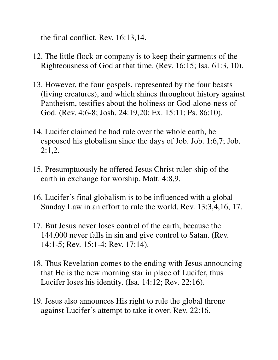the final conflict. Rev. 16:13,14.

- 12. The little flock or company is to keep their garments of the Righteousness of God at that time. (Rev. 16:15; Isa. 61:3, 10).
- 13. However, the four gospels, represented by the four beasts (living creatures), and which shines throughout history against Pantheism, testifies about the holiness or God-alone-ness of God. (Rev. 4:6-8; Josh. 24:19,20; Ex. 15:11; Ps. 86:10).
- 14. Lucifer claimed he had rule over the whole earth, he espoused his globalism since the days of Job. Job. 1:6,7; Job. 2:1,2.
- 15. Presumptuously he offered Jesus Christ ruler-ship of the earth in exchange for worship. Matt. 4:8,9.
- 16. Lucifer's final globalism is to be influenced with a global Sunday Law in an effort to rule the world. Rev. 13:3,4,16, 17.
- 17. But Jesus never loses control of the earth, because the 144,000 never falls in sin and give control to Satan. (Rev. 14:1-5; Rev. 15:1-4; Rev. 17:14).
- 18. Thus Revelation comes to the ending with Jesus announcing that He is the new morning star in place of Lucifer, thus Lucifer loses his identity. (Isa. 14:12; Rev. 22:16).
- 19. Jesus also announces His right to rule the global throne against Lucifer's attempt to take it over. Rev. 22:16.